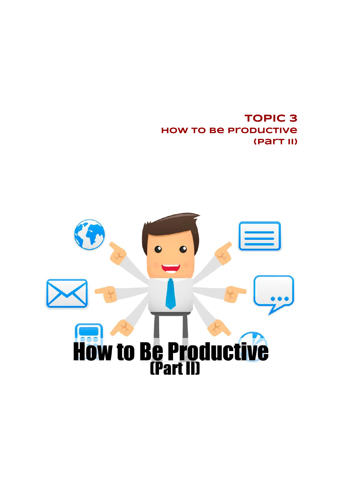**TOPIC 3 How to Be Productive (Part II)**

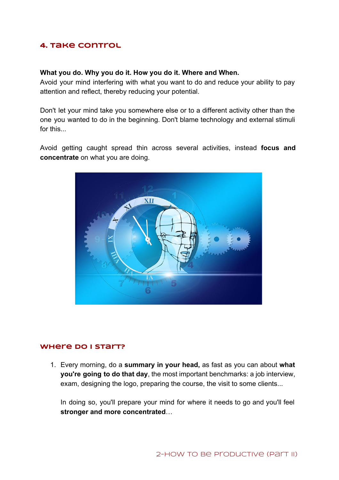# **4. Take Control**

### **What you do. Why you do it. How you do it. Where and When.**

Avoid your mind interfering with what you want to do and reduce your ability to pay attention and reflect, thereby reducing your potential.

Don't let your mind take you somewhere else or to a different activity other than the one you wanted to do in the beginning. Don't blame technology and external stimuli for this.

Avoid getting caught spread thin across several activities, instead **focus and concentrate**on what you are doing.



### **Where Do I Start?**

1. Every morning, do a **summary in your head,** as fast as you can about **what you're going to do that day**, the most important benchmarks: a job interview, exam, designing the logo, preparing the course, the visit to some clients...

In doing so, you'll prepare your mind for where it needs to go and you'll feel **stronger and more concentrated**…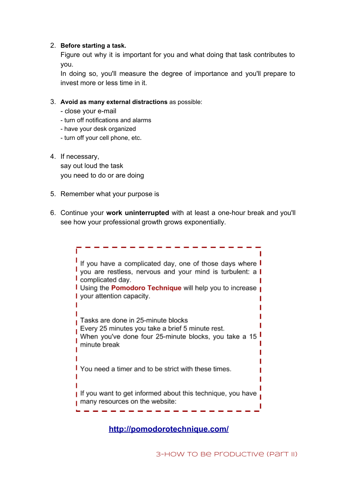### 2. **Before starting a task.**

Figure out why it is important for you and what doing that task contributes to you.

In doing so, you'll measure the degree of importance and you'll prepare to invest more or less time in it.

- 3. **Avoid as many external distractions** as possible:
	- close your e-mail
	- turn off notifications and alarms
	- have your desk organized
	- turn off your cell phone, etc.
- 4. If necessary,

say out loud the task you need to do or are doing

- 5. Remember what your purpose is
- 6. Continue your **work uninterrupted** with at least a onehour break and you'll see how your professional growth grows exponentially.



**<http://pomodorotechnique.com/>**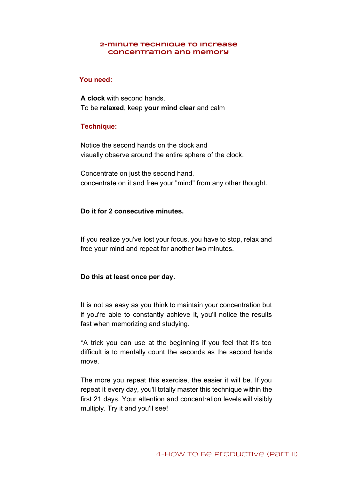#### **2-minute technique to increase concentration and memory**

### **You need:**

**A clock** with second hands. To be **relaxed**, keep **your mind clear** and calm

### **Technique:**

Notice the second hands on the clock and visually observe around the entire sphere of the clock.

Concentrate on just the second hand, concentrate on it and free your "mind" from any other thought.

#### **Do it for 2 consecutive minutes.**

If you realize you've lost your focus, you have to stop, relax and free your mind and repeat for another two minutes.

### **Do this at least once per day.**

It is not as easy as you think to maintain your concentration but if you're able to constantly achieve it, you'll notice the results fast when memorizing and studying.

\*A trick you can use at the beginning if you feel that it's too difficult is to mentally count the seconds as the second hands move.

The more you repeat this exercise, the easier it will be. If you repeat it every day, you'll totally master this technique within the first 21 days. Your attention and concentration levels will visibly multiply. Try it and you'll see!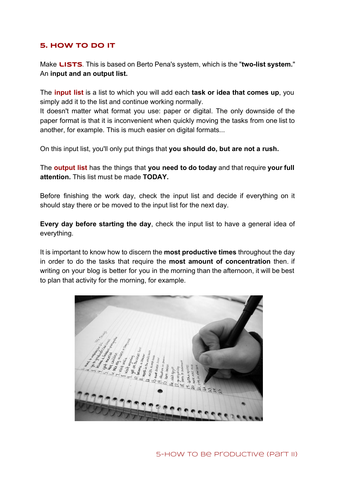## **5. How to Do It**

Make **LISTS**. This is based on Berto Pena's system, which is the "two-list system." An **input and an output list.**

The **input list** is a list to which you will add each **task or idea that comes up**, you simply add it to the list and continue working normally.

It doesn't matter what format you use: paper or digital. The only downside of the paper format is that it is inconvenient when quickly moving the tasks from one list to another, for example. This is much easier on digital formats...

On this input list, you'll only put things that **you should do, but are not a rush.**

The **output list** has the things that **you need to do today** and that require **your full attention.**This list must be made **TODAY.**

Before finishing the work day, check the input list and decide if everything on it should stay there or be moved to the input list for the next day.

**Every day before starting the day**, check the input list to have a general idea of everything.

It is important to know how to discern the **most productive times** throughout the day in order to do the tasks that require the **most amount of concentration** then. if writing on your blog is better for you in the morning than the afternoon, it will be best to plan that activity for the morning, for example.

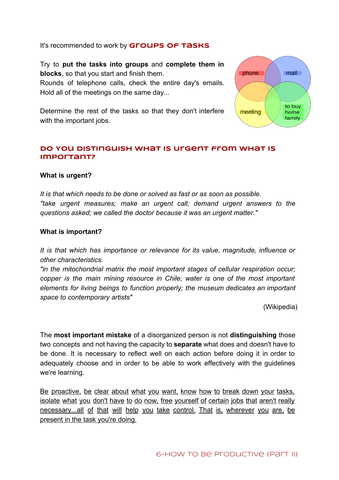## It's recommended to work by **Groups of Tasks**

Try to **put the tasks into groups** and **complete them in blocks**, so that you start and finish them. Rounds of telephone calls, check the entire day's emails. Hold all of the meetings on the same day...



Determine the rest of the tasks so that they don't interfere with the important jobs.

## **Do You Distinguish What is Urgent from What is Important?**

### **What is urgent?**

*It is that which needs to be done or solved as fast or as soon as possible. "take urgent measures; make an urgent call; demand urgent answers to the questions asked; we called the doctor because it was an urgent matter."*

### **What is important?**

*It is that which has importance or relevance for its value, magnitude, influence or other characteristics.*

*"in the mitochondrial matrix the most important stages of cellular respiration occur; copper is the main mining resource in Chile; water is one of the most important elements for living beings to function properly; the museum dedicates an important space to contemporary artists"*

(Wikipedia)

The **most important mistake** of a disorganized person is not **distinguishing** those two concepts and not having the capacity to **separate** what does and doesn't have to be done. It is necessary to reflect well on each action before doing it in order to adequately choose and in order to be able to work effectively with the guidelines we're learning.

Be proactive, be clear about what you want, know how to break down your tasks, isolate what you don't have to do now, free yourself of certain jobs that aren't really necessary...all of that will help you take control. That is, wherever you are, be present in the task you're doing.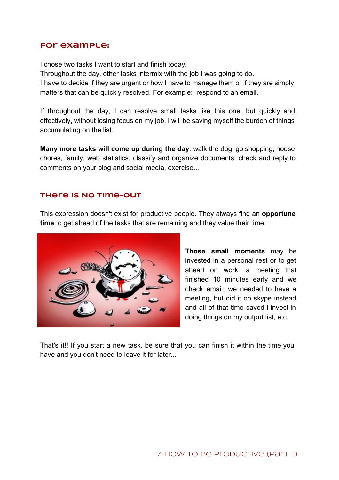## **For example:**

I chose two tasks I want to start and finish today.

Throughout the day, other tasks intermix with the job I was going to do.

I have to decide if they are urgent or how I have to manage them or if they are simply matters that can be quickly resolved. For example: respond to an email.

If throughout the day, I can resolve small tasks like this one, but quickly and effectively, without losing focus on my job, I will be saving myself the burden of things accumulating on the list.

**Many more tasks will come up during the day**: walk the dog, go shopping, house chores, family, web statistics, classify and organize documents, check and reply to comments on your blog and social media, exercise...

## **There Is No Time-out**

This expression doesn't exist for productive people. They always find an **opportune time**to get ahead of the tasks that are remaining and they value their time.



**Those small moments** may be invested in a personal rest or to get ahead on work: a meeting that finished 10 minutes early and we check email; we needed to have a meeting, but did it on skype instead and all of that time saved I invest in doing things on my output list, etc.

That's it!! If you start a new task, be sure that you can finish it within the time you have and you don't need to leave it for later...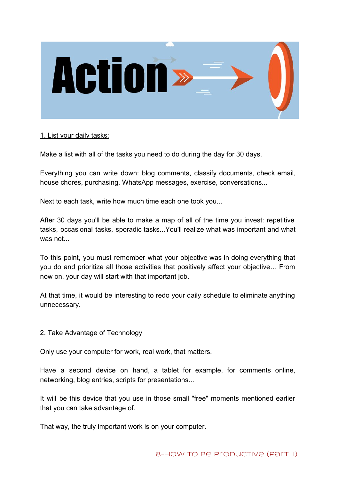

## 1. List your daily tasks:

Make a list with all of the tasks you need to do during the day for 30 days.

Everything you can write down: blog comments, classify documents, check email, house chores, purchasing, WhatsApp messages, exercise, conversations...

Next to each task, write how much time each one took you...

After 30 days you'll be able to make a map of all of the time you invest: repetitive tasks, occasional tasks, sporadic tasks...You'll realize what was important and what was not...

To this point, you must remember what your objective was in doing everything that you do and prioritize all those activities that positively affect your objective… From now on, your day will start with that important job.

At that time, it would be interesting to redo your daily schedule to eliminate anything unnecessary.

## 2. Take Advantage of Technology

Only use your computer for work, real work, that matters.

Have a second device on hand, a tablet for example, for comments online, networking, blog entries, scripts for presentations...

It will be this device that you use in those small "free" moments mentioned earlier that you can take advantage of.

That way, the truly important work is on your computer.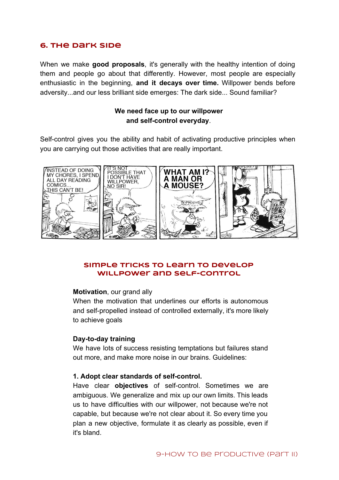## **6. The Dark Side**

When we make **good proposals**, it's generally with the healthy intention of doing them and people go about that differently. However, most people are especially enthusiastic in the beginning, **and it decays over time.** Willpower bends before adversity...and our less brilliant side emerges: The dark side... Sound familiar?

## **We need face up to our willpower and self-control everyday.**

Self-control gives you the ability and habit of activating productive principles when you are carrying out those activities that are really important.



## **Simple Tricks to Learn to Develop Willpower and Self-control**

#### **Motivation**, our grand ally

When the motivation that underlines our efforts is autonomous and self-propelled instead of controlled externally, it's more likely to achieve goals

#### **Day-to-day training**

We have lots of success resisting temptations but failures stand out more, and make more noise in our brains. Guidelines:

#### **1.** Adopt clear standards of self-control.

Have clear **objectives** of self-control. Sometimes we are ambiguous. We generalize and mix up our own limits. This leads us to have difficulties with our willpower, not because we're not capable, but because we're not clear about it. So every time you plan a new objective, formulate it as clearly as possible, even if it's bland.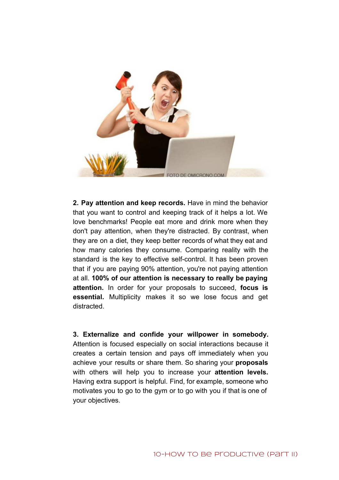

**2. Pay attention and keep records.** Have in mind the behavior that you want to control and keeping track of it helps a lot. We love benchmarks! People eat more and drink more when they don't pay attention, when they're distracted. By contrast, when they are on a diet, they keep better records of what they eat and how many calories they consume. Comparing reality with the standard is the key to effective self-control. It has been proven that if you are paying 90% attention, you're not paying attention at all. **100% of our attention is necessary to really be paying attention.** In order for your proposals to succeed, **focus is essential.** Multiplicity makes it so we lose focus and get distracted.

**3. Externalize and confide your willpower in somebody.** Attention is focused especially on social interactions because it creates a certain tension and pays off immediately when you achieve your results or share them. So sharing your **proposals** with others will help you to increase your **attention levels.** Having extra support is helpful. Find, for example, someone who motivates you to go to the gym or to go with you if that is one of your objectives.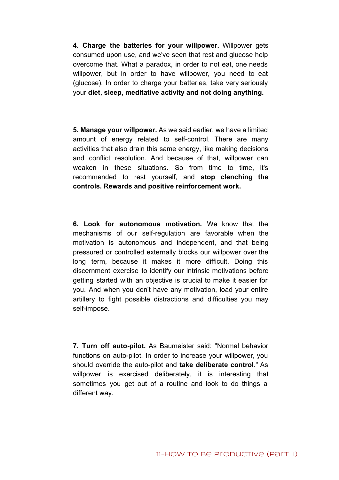**4. Charge the batteries for your willpower.** Willpower gets consumed upon use, and we've seen that rest and glucose help overcome that. What a paradox, in order to not eat, one needs willpower, but in order to have willpower, you need to eat (glucose). In order to charge your batteries, take very seriously your **diet, sleep, meditative activity and not doing anything.**

**5. Manage your willpower.** As we said earlier, we have a limited amount of energy related to self-control. There are many activities that also drain this same energy, like making decisions and conflict resolution. And because of that, willpower can weaken in these situations. So from time to time, it's recommended to rest yourself, and **stop clenching the controls.Rewards and positive reinforcement work.**

**6. Look for autonomous motivation.** We know that the mechanisms of our self-regulation are favorable when the motivation is autonomous and independent, and that being pressured or controlled externally blocks our willpower over the long term, because it makes it more difficult. Doing this discernment exercise to identify our intrinsic motivations before getting started with an objective is crucial to make it easier for you. And when you don't have any motivation, load your entire artillery to fight possible distractions and difficulties you may self-impose.

**7. Turn off auto-pilot.** As Baumeister said: "Normal behavior functions on auto-pilot. In order to increase your willpower, you should override the autopilot and **take deliberate control**." As willpower is exercised deliberately, it is interesting that sometimes you get out of a routine and look to do things a different way.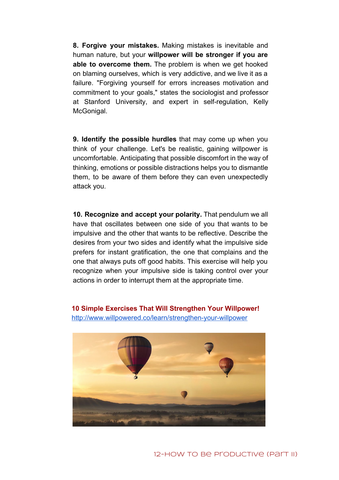**8. Forgive your mistakes.** Making mistakes is inevitable and human nature, but your **willpower will be stronger if you are able to overcome them.** The problem is when we get hooked on blaming ourselves, which is very addictive, and we live it as a failure. "Forgiving yourself for errors increases motivation and commitment to your goals," states the sociologist and professor at Stanford University, and expert in self-regulation, Kelly McGonigal.

**9. Identify the possible hurdles** that may come up when you think of your challenge. Let's be realistic, gaining willpower is uncomfortable. Anticipating that possible discomfort in the way of thinking, emotions or possible distractions helps you to dismantle them, to be aware of them before they can even unexpectedly attack you.

**10. Recognize and accept your polarity.** That pendulum we all have that oscillates between one side of you that wants to be impulsive and the other that wants to be reflective. Describe the desires from your two sides and identify what the impulsive side prefers for instant gratification, the one that complains and the one that always puts off good habits. This exercise will help you recognize when your impulsive side is taking control over your actions in order to interrupt them at the appropriate time.

**10 Simple Exercises That Will Strengthen Your Willpower!** http://www.willpowered.co/learn/strengthen-your-willpower

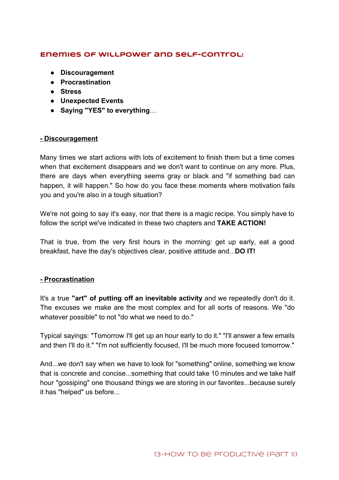## **Enemies of Willpower and Self-control:**

- **● Discouragement**
- **● Procrastination**
- **● Stress**
- **● Unexpected Events**
- **● Saying "YES" to everything**…

## **Discouragement**

Many times we start actions with lots of excitement to finish them but a time comes when that excitement disappears and we don't want to continue on any more. Plus, there are days when everything seems gray or black and "if something bad can happen, it will happen." So how do you face these moments where motivation fails you and you're also in a tough situation?

We're not going to say it's easy, nor that there is a magic recipe. You simply have to follow the script we've indicated in these two chapters and **TAKE ACTION!**

That is true, from the very first hours in the morning: get up early, eat a good breakfast, have the day's objectives clear, positive attitude and...**DO IT!**

## **Procrastination**

It's a true **"art" of putting off an inevitable activity** and we repeatedly don't do it. The excuses we make are the most complex and for all sorts of reasons. We "do whatever possible" to not "do what we need to do."

Typical sayings: "Tomorrow I'll get up an hour early to do it." "I'll answer a few emails and then I'll do it." "I'm not sufficiently focused, I'll be much more focused tomorrow."

And...we don't say when we have to look for "something" online, something we know that is concrete and concise...something that could take 10 minutes and we take half hour "gossiping" one thousand things we are storing in our favorites...because surely it has "helped" us before...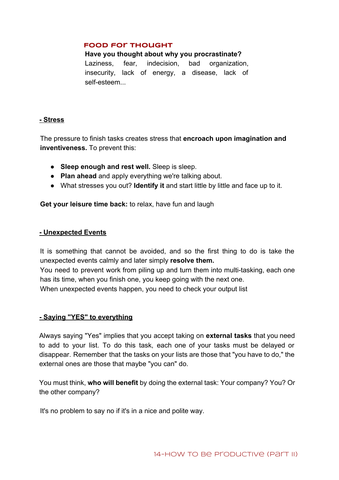### **Food for Thought**

#### **Have you thought about why you procrastinate?**

Laziness, fear, indecision, bad organization, insecurity, lack of energy, a disease, lack of self-esteem...

### **Stress**

The pressure to finish tasks creates stress that **encroach upon imagination and inventiveness.**To prevent this:

- **Sleep enough and rest well.**Sleep is sleep.
- **Plan ahead** and apply everything we're talking about.
- What stresses you out? **Identify it** and start little by little and face up to it.

**Get your leisure time back:** to relax, have fun and laugh

### **Unexpected Events**

It is something that cannot be avoided, and so the first thing to do is take the unexpected events calmly and later simply **resolve them.**

You need to prevent work from piling up and turn them into multi-tasking, each one has its time, when you finish one, you keep going with the next one.

When unexpected events happen, you need to check your output list

## **Saying "YES" to everything**

Always saying "Yes" implies that you accept taking on **external tasks** that you need to add to your list. To do this task, each one of your tasks must be delayed or disappear. Remember that the tasks on your lists are those that "you have to do," the external ones are those that maybe "you can" do.

You must think, **who will benefit** by doing the external task: Your company? You? Or the other company?

It's no problem to say no if it's in a nice and polite way.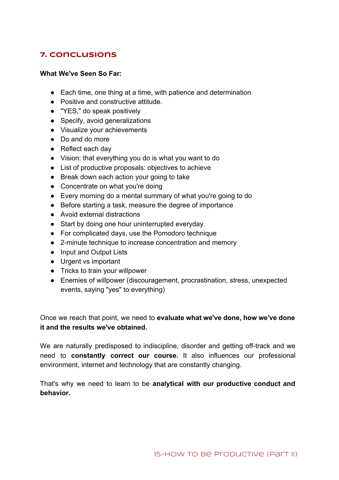# **7. Conclusions**

## **What We've Seen So Far:**

- Each time, one thing at a time, with patience and determination
- Positive and constructive attitude.
- "YES," do speak positively
- Specify, avoid generalizations
- Visualize your achievements
- Do and do more
- Reflect each day
- Vision: that everything you do is what you want to do
- List of productive proposals: objectives to achieve
- Break down each action your going to take
- Concentrate on what you're doing
- Every morning do a mental summary of what you're going to do
- Before starting a task, measure the degree of importance
- Avoid external distractions
- Start by doing one hour uninterrupted everyday.
- For complicated days, use the Pomodoro technique
- 2-minute technique to increase concentration and memory
- Input and Output Lists
- Urgent vs important
- Tricks to train your willpower
- Enemies of willpower (discouragement, procrastination, stress, unexpected events, saying "yes" to everything)

Once we reach that point, we need to **evaluate what we've done, how we've done it and the results we've obtained.**

We are naturally predisposed to indiscipline, disorder and getting off-track and we need to **constantly correct our course.** It also influences our professional environment, internet and technology that are constantly changing.

That's why we need to learn to be **analytical with our productive conduct and behavior.**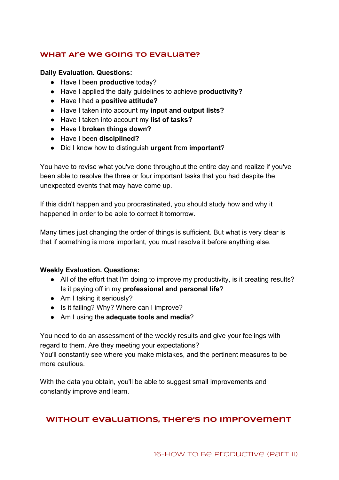## **What Are We Going to Evaluate?**

### **Daily Evaluation. Questions:**

- Have I been **productive** today?
- Have I applied the daily guidelines to achieve **productivity?**
- Have I had a **positive attitude?**
- Have I taken into account my **input and output lists?**
- Have I taken into account my **list of tasks?**
- Have I **broken things down?**
- Have I been **disciplined?**
- Did I know how to distinguish **urgent**from **important**?

You have to revise what you've done throughout the entire day and realize if you've been able to resolve the three or four important tasks that you had despite the unexpected events that may have come up.

If this didn't happen and you procrastinated, you should study how and why it happened in order to be able to correct it tomorrow.

Many times just changing the order of things is sufficient. But what is very clear is that if something is more important, you must resolve it before anything else.

### **Weekly Evaluation. Questions:**

- All of the effort that I'm doing to improve my productivity, is it creating results? Is it paying off in my **professional and personal life**?
- Am I taking it seriously?
- Is it failing? Why? Where can I improve?
- Am I using the **adequate tools and media**?

You need to do an assessment of the weekly results and give your feelings with regard to them. Are they meeting your expectations?

You'll constantly see where you make mistakes, and the pertinent measures to be more cautious.

With the data you obtain, you'll be able to suggest small improvements and constantly improve and learn.

## **Without evaluations, there's no improvement**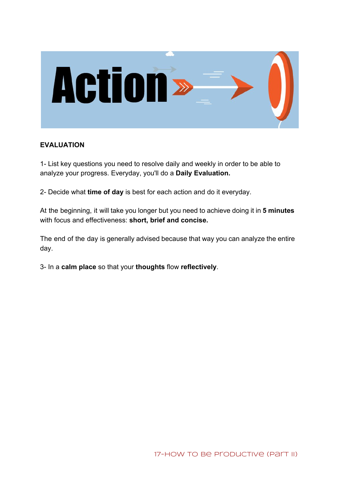

## **EVALUATION**

1 List key questions you need to resolve daily and weekly in order to be able to analyze your progress. Everyday, you'll do a **Daily Evaluation.**

2 Decide what **time of day**is best for each action and do it everyday.

At the beginning, it will take you longer but you need to achieve doing it in **5 minutes** with focus and effectiveness: **short, brief and concise.**

The end of the day is generally advised because that way you can analyze the entire day.

3 In a **calm place** so that your **thoughts**flow **reflectively**.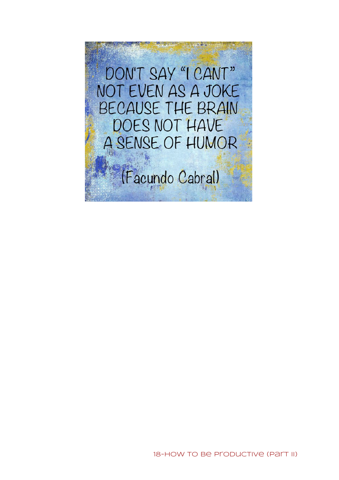DON'T SAY "I CANT" NOT EVEN AS A JOKE BECAUSE THE BRAIN DOES NOT HAVE A SENSE OF HUMOR

(Facundo Cabral)

18-HOW TO Be Productive (Part II)